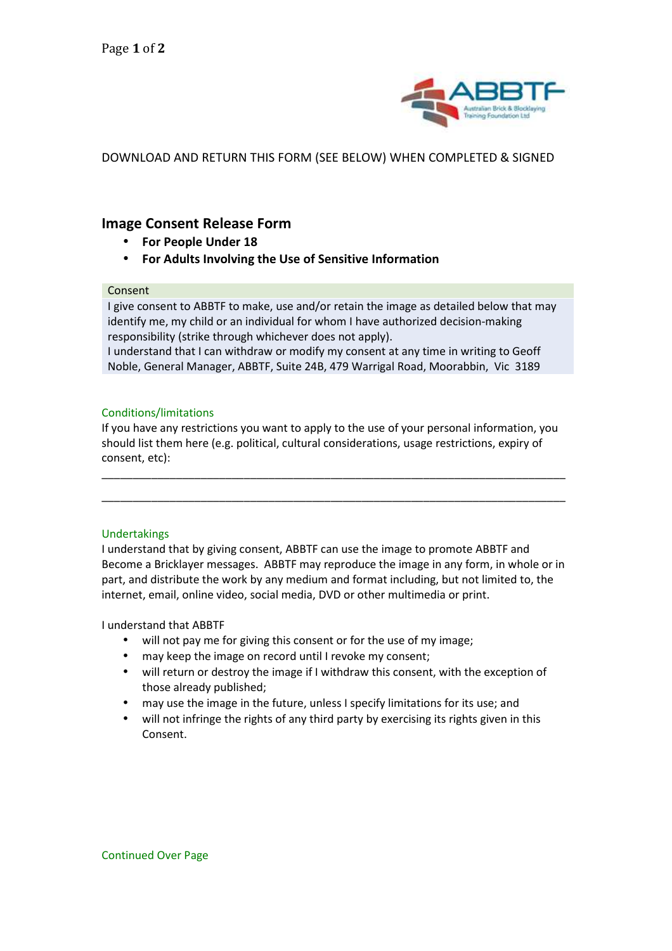

DOWNLOAD AND RETURN THIS FORM (SEE BELOW) WHEN COMPLETED & SIGNED

# **Image Consent Release Form**

- **For People Under 18**
- **For Adults Involving the Use of Sensitive Information**

## Consent

I give consent to ABBTF to make, use and/or retain the image as detailed below that may identify me, my child or an individual for whom I have authorized decision-making responsibility (strike through whichever does not apply).

I understand that I can withdraw or modify my consent at any time in writing to Geoff Noble, General Manager, ABBTF, Suite 24B, 479 Warrigal Road, Moorabbin, Vic 3189

## Conditions/limitations

If you have any restrictions you want to apply to the use of your personal information, you should list them here (e.g. political, cultural considerations, usage restrictions, expiry of consent, etc):

\_\_\_\_\_\_\_\_\_\_\_\_\_\_\_\_\_\_\_\_\_\_\_\_\_\_\_\_\_\_\_\_\_\_\_\_\_\_\_\_\_\_\_\_\_\_\_\_\_\_\_\_\_\_\_\_\_\_\_\_\_\_\_\_\_\_\_\_\_\_\_\_\_\_\_

\_\_\_\_\_\_\_\_\_\_\_\_\_\_\_\_\_\_\_\_\_\_\_\_\_\_\_\_\_\_\_\_\_\_\_\_\_\_\_\_\_\_\_\_\_\_\_\_\_\_\_\_\_\_\_\_\_\_\_\_\_\_\_\_\_\_\_\_\_\_\_\_\_\_\_

## Undertakings

I understand that by giving consent, ABBTF can use the image to promote ABBTF and Become a Bricklayer messages. ABBTF may reproduce the image in any form, in whole or in part, and distribute the work by any medium and format including, but not limited to, the internet, email, online video, social media, DVD or other multimedia or print.

I understand that ABBTF

- will not pay me for giving this consent or for the use of my image;
- may keep the image on record until I revoke my consent;
- will return or destroy the image if I withdraw this consent, with the exception of those already published;
- may use the image in the future, unless I specify limitations for its use; and
- will not infringe the rights of any third party by exercising its rights given in this Consent.